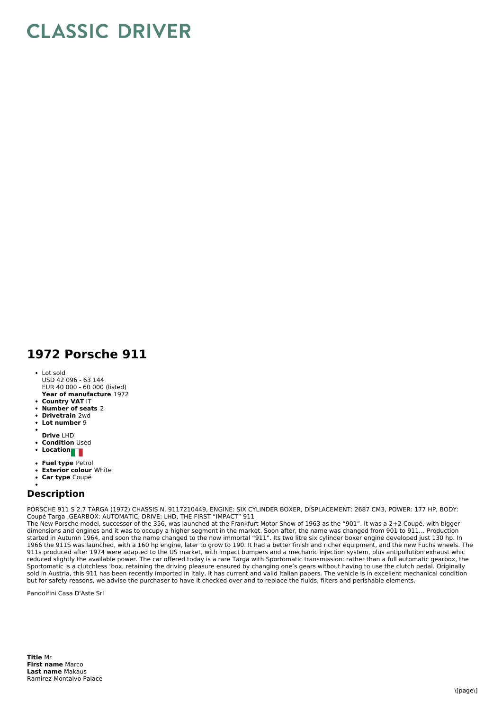## **CLASSIC DRIVER**

## **1972 Porsche 911**

- **Year of manufacture** 1972 Lot sold USD 42 096 - 63 144 EUR 40 000 - 60 000 (listed)
- **Country VAT** IT
- **Number of seats** 2
- **Drivetrain** 2wd
- **Lot number** 9
- **Drive** LHD
- **Condition Used**
- Location**na**
- **Fuel type** Petrol
- **Exterior colour** White
- **Car type** Coupé

## **Description**

PORSCHE 911 S 2.7 TARGA (1972) CHASSIS N. 9117210449, ENGINE: SIX CYLINDER BOXER, DISPLACEMENT: 2687 CM3, POWER: 177 HP, BODY: Coupé Targa ,GEARBOX: AUTOMATIC, DRIVE: LHD, THE FIRST "IMPACT" 911

The New Porsche model, successor of the 356, was launched at the Frankfurt Motor Show of 1963 as the "901". It was a 2+2 Coupé, with bigger dimensions and engines and it was to occupy a higher segment in the market. Soon after, the name was changed from 901 to 911... Production started in Autumn 1964, and soon the name changed to the now immortal "911". Its two litre six cylinder boxer engine developed just 130 hp. In 1966 the 911S was launched, with a 160 hp engine, later to grow to 190. It had a better finish and richer equipment, and the new Fuchs wheels. The 911s produced after 1974 were adapted to the US market, with impact bumpers and a mechanic injection system, plus antipollution exhaust whic reduced slightly the available power. The car offered today is a rare Targa with Sportomatic transmission: rather than a full automatic gearbox, the Sportomatic is a clutchless 'box, retaining the driving pleasure ensured by changing one's gears without having to use the clutch pedal. Originally sold in Austria, this 911 has been recently imported in Italy. It has current and valid Italian papers. The vehicle is in excellent mechanical condition but for safety reasons, we advise the purchaser to have it checked over and to replace the fluids, filters and perishable elements.

Pandolfini Casa D'Aste Srl